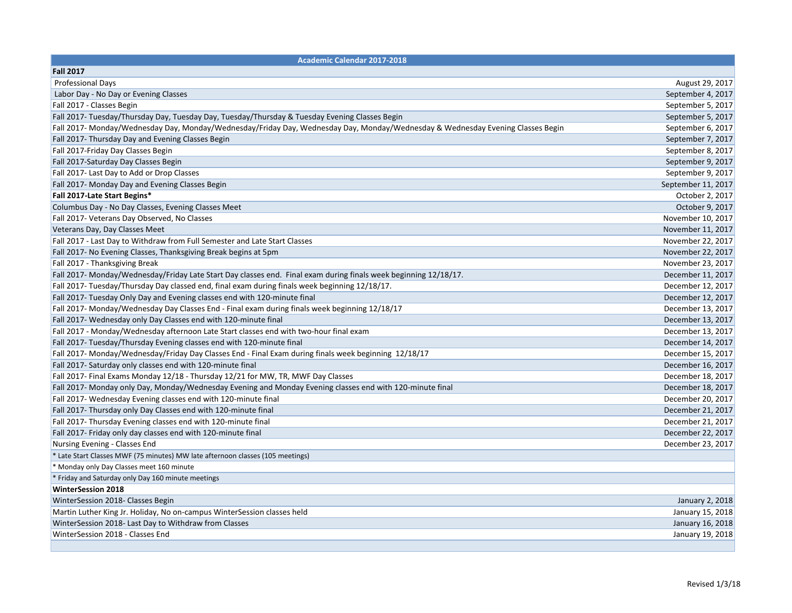| <b>Academic Calendar 2017-2018</b>                                                                                              |                    |
|---------------------------------------------------------------------------------------------------------------------------------|--------------------|
| <b>Fall 2017</b>                                                                                                                |                    |
| <b>Professional Days</b>                                                                                                        | August 29, 2017    |
| Labor Day - No Day or Evening Classes                                                                                           | September 4, 2017  |
| Fall 2017 - Classes Begin                                                                                                       | September 5, 2017  |
| Fall 2017- Tuesday/Thursday Day, Tuesday Day, Tuesday/Thursday & Tuesday Evening Classes Begin                                  | September 5, 2017  |
| Fall 2017- Monday/Wednesday Day, Monday/Wednesday/Friday Day, Wednesday Day, Monday/Wednesday & Wednesday Evening Classes Begin | September 6, 2017  |
| Fall 2017- Thursday Day and Evening Classes Begin                                                                               | September 7, 2017  |
| Fall 2017-Friday Day Classes Begin                                                                                              | September 8, 2017  |
| Fall 2017-Saturday Day Classes Begin                                                                                            | September 9, 2017  |
| Fall 2017- Last Day to Add or Drop Classes                                                                                      | September 9, 2017  |
| Fall 2017- Monday Day and Evening Classes Begin                                                                                 | September 11, 2017 |
| Fall 2017-Late Start Begins*                                                                                                    | October 2, 2017    |
| Columbus Day - No Day Classes, Evening Classes Meet                                                                             | October 9, 2017    |
| Fall 2017- Veterans Day Observed, No Classes                                                                                    | November 10, 2017  |
| Veterans Day, Day Classes Meet                                                                                                  | November 11, 2017  |
| Fall 2017 - Last Day to Withdraw from Full Semester and Late Start Classes                                                      | November 22, 2017  |
| Fall 2017- No Evening Classes, Thanksgiving Break begins at 5pm                                                                 | November 22, 2017  |
| Fall 2017 - Thanksgiving Break                                                                                                  | November 23, 2017  |
| Fall 2017- Monday/Wednesday/Friday Late Start Day classes end. Final exam during finals week beginning 12/18/17.                | December 11, 2017  |
| Fall 2017- Tuesday/Thursday Day classed end, final exam during finals week beginning 12/18/17.                                  | December 12, 2017  |
| Fall 2017- Tuesday Only Day and Evening classes end with 120-minute final                                                       | December 12, 2017  |
| Fall 2017- Monday/Wednesday Day Classes End - Final exam during finals week beginning 12/18/17                                  | December 13, 2017  |
| Fall 2017- Wednesday only Day Classes end with 120-minute final                                                                 | December 13, 2017  |
| Fall 2017 - Monday/Wednesday afternoon Late Start classes end with two-hour final exam                                          | December 13, 2017  |
| Fall 2017- Tuesday/Thursday Evening classes end with 120-minute final                                                           | December 14, 2017  |
| Fall 2017- Monday/Wednesday/Friday Day Classes End - Final Exam during finals week beginning 12/18/17                           | December 15, 2017  |
| Fall 2017- Saturday only classes end with 120-minute final                                                                      | December 16, 2017  |
| Fall 2017- Final Exams Monday 12/18 - Thursday 12/21 for MW, TR, MWF Day Classes                                                | December 18, 2017  |
| Fall 2017- Monday only Day, Monday/Wednesday Evening and Monday Evening classes end with 120-minute final                       | December 18, 2017  |
| Fall 2017- Wednesday Evening classes end with 120-minute final                                                                  | December 20, 2017  |
| Fall 2017- Thursday only Day Classes end with 120-minute final                                                                  | December 21, 2017  |
| Fall 2017- Thursday Evening classes end with 120-minute final                                                                   | December 21, 2017  |
| Fall 2017- Friday only day classes end with 120-minute final                                                                    | December 22, 2017  |
| Nursing Evening - Classes End                                                                                                   | December 23, 2017  |
| * Late Start Classes MWF (75 minutes) MW late afternoon classes (105 meetings)                                                  |                    |
| * Monday only Day Classes meet 160 minute                                                                                       |                    |
| * Friday and Saturday only Day 160 minute meetings                                                                              |                    |
| <b>WinterSession 2018</b>                                                                                                       |                    |
| WinterSession 2018- Classes Begin                                                                                               | January 2, 2018    |
| Martin Luther King Jr. Holiday, No on-campus WinterSession classes held                                                         | January 15, 2018   |
| WinterSession 2018- Last Day to Withdraw from Classes                                                                           | January 16, 2018   |
| WinterSession 2018 - Classes End                                                                                                | January 19, 2018   |
|                                                                                                                                 |                    |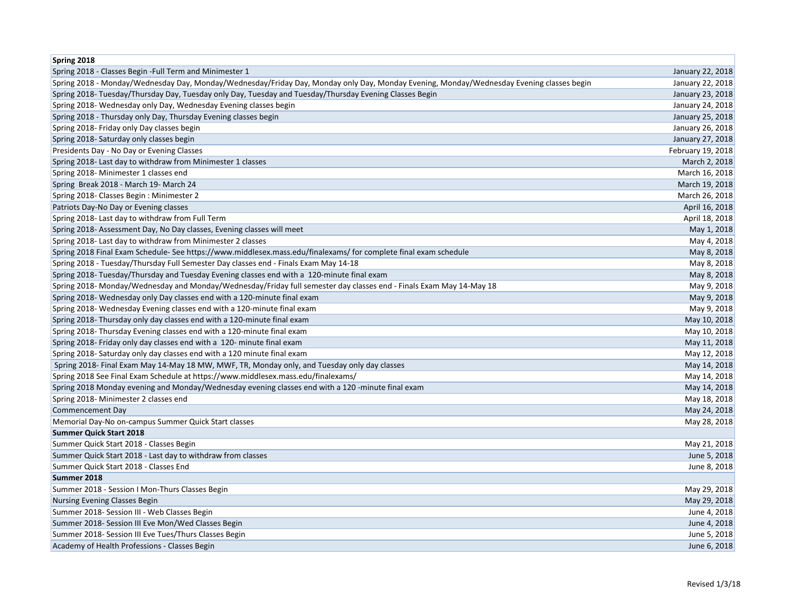| Spring 2018                                                                                                                              |                   |
|------------------------------------------------------------------------------------------------------------------------------------------|-------------------|
| Spring 2018 - Classes Begin - Full Term and Minimester 1                                                                                 | January 22, 2018  |
| Spring 2018 - Monday/Wednesday Day, Monday/Wednesday/Friday Day, Monday only Day, Monday Evening, Monday/Wednesday Evening classes begin | January 22, 2018  |
| Spring 2018- Tuesday/Thursday Day, Tuesday only Day, Tuesday and Tuesday/Thursday Evening Classes Begin                                  | January 23, 2018  |
| Spring 2018- Wednesday only Day, Wednesday Evening classes begin                                                                         | January 24, 2018  |
| Spring 2018 - Thursday only Day, Thursday Evening classes begin                                                                          | January 25, 2018  |
| Spring 2018- Friday only Day classes begin                                                                                               | January 26, 2018  |
| Spring 2018- Saturday only classes begin                                                                                                 | January 27, 2018  |
| Presidents Day - No Day or Evening Classes                                                                                               | February 19, 2018 |
| Spring 2018- Last day to withdraw from Minimester 1 classes                                                                              | March 2, 2018     |
| Spring 2018- Minimester 1 classes end                                                                                                    | March 16, 2018    |
| Spring Break 2018 - March 19- March 24                                                                                                   | March 19, 2018    |
| Spring 2018- Classes Begin: Minimester 2                                                                                                 | March 26, 2018    |
| Patriots Day-No Day or Evening classes                                                                                                   | April 16, 2018    |
| Spring 2018- Last day to withdraw from Full Term                                                                                         | April 18, 2018    |
| Spring 2018- Assessment Day, No Day classes, Evening classes will meet                                                                   | May 1, 2018       |
| Spring 2018- Last day to withdraw from Minimester 2 classes                                                                              | May 4, 2018       |
| Spring 2018 Final Exam Schedule-See https://www.middlesex.mass.edu/finalexams/ for complete final exam schedule                          | May 8, 2018       |
| Spring 2018 - Tuesday/Thursday Full Semester Day classes end - Finals Exam May 14-18                                                     | May 8, 2018       |
| Spring 2018- Tuesday/Thursday and Tuesday Evening classes end with a 120-minute final exam                                               | May 8, 2018       |
| Spring 2018-Monday/Wednesday and Monday/Wednesday/Friday full semester day classes end - Finals Exam May 14-May 18                       | May 9, 2018       |
| Spring 2018- Wednesday only Day classes end with a 120-minute final exam                                                                 | May 9, 2018       |
| Spring 2018- Wednesday Evening classes end with a 120-minute final exam                                                                  | May 9, 2018       |
| Spring 2018- Thursday only day classes end with a 120-minute final exam                                                                  | May 10, 2018      |
| Spring 2018- Thursday Evening classes end with a 120-minute final exam                                                                   | May 10, 2018      |
| Spring 2018- Friday only day classes end with a 120- minute final exam                                                                   | May 11, 2018      |
| Spring 2018- Saturday only day classes end with a 120 minute final exam                                                                  | May 12, 2018      |
| Spring 2018- Final Exam May 14-May 18 MW, MWF, TR, Monday only, and Tuesday only day classes                                             | May 14, 2018      |
| Spring 2018 See Final Exam Schedule at https://www.middlesex.mass.edu/finalexams/                                                        | May 14, 2018      |
| Spring 2018 Monday evening and Monday/Wednesday evening classes end with a 120 -minute final exam                                        | May 14, 2018      |
| Spring 2018- Minimester 2 classes end                                                                                                    | May 18, 2018      |
| Commencement Day                                                                                                                         | May 24, 2018      |
| Memorial Day-No on-campus Summer Quick Start classes                                                                                     | May 28, 2018      |
| <b>Summer Quick Start 2018</b>                                                                                                           |                   |
| Summer Quick Start 2018 - Classes Begin                                                                                                  | May 21, 2018      |
| Summer Quick Start 2018 - Last day to withdraw from classes                                                                              | June 5, 2018      |
| Summer Quick Start 2018 - Classes End                                                                                                    | June 8, 2018      |
| Summer 2018                                                                                                                              |                   |
| Summer 2018 - Session I Mon-Thurs Classes Begin                                                                                          | May 29, 2018      |
| Nursing Evening Classes Begin                                                                                                            | May 29, 2018      |
| Summer 2018- Session III - Web Classes Begin                                                                                             | June 4, 2018      |
| Summer 2018- Session III Eve Mon/Wed Classes Begin                                                                                       | June 4, 2018      |
| Summer 2018- Session III Eve Tues/Thurs Classes Begin                                                                                    | June 5, 2018      |
| Academy of Health Professions - Classes Begin                                                                                            | June 6, 2018      |